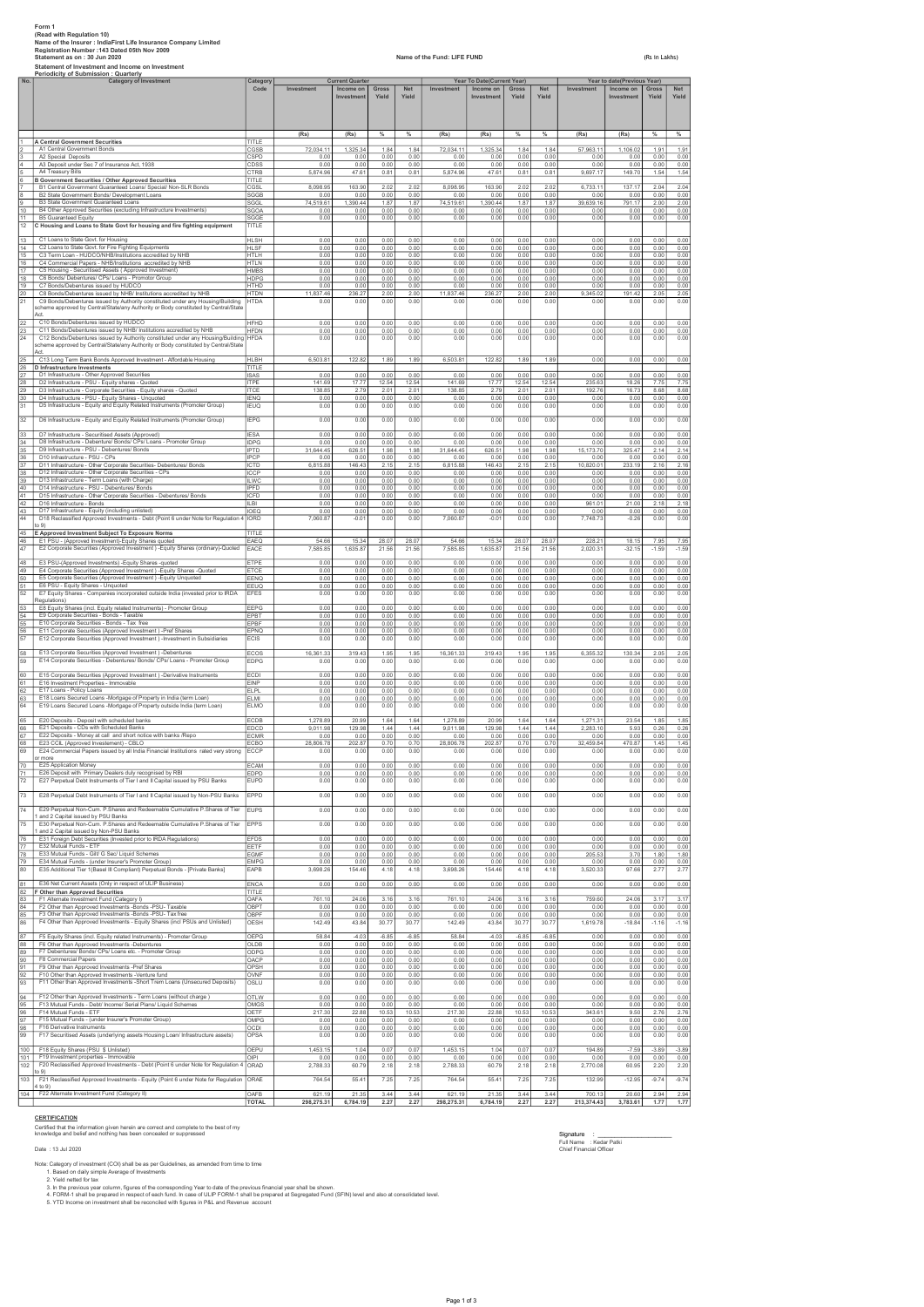|                        | Form 1<br>(Read with Regulation 10)<br>Name of the Insurer : IndiaFirst Life Insurance Company Limited<br>Registration Number : 143 Dated 05th Nov 2009<br>Name of the Fund: LIFE FUND<br>Statement as on: 30 Jun 2020<br>(Rs in Lakhs)<br>Statement of Investment and Income on Investment<br>Periodicity of Submission : Quarterly |                                     |                          |                                                   |                       |                       |                          |                                                       |                       |                       |                          |                                                        |                       |                      |
|------------------------|--------------------------------------------------------------------------------------------------------------------------------------------------------------------------------------------------------------------------------------------------------------------------------------------------------------------------------------|-------------------------------------|--------------------------|---------------------------------------------------|-----------------------|-----------------------|--------------------------|-------------------------------------------------------|-----------------------|-----------------------|--------------------------|--------------------------------------------------------|-----------------------|----------------------|
| No.                    | <b>Category of Investment</b>                                                                                                                                                                                                                                                                                                        | Category<br>Code                    | Investment               | <b>Current Quarter</b><br>Income on<br>Investment | Gross<br>Yield        | <b>Net</b><br>Yield   | Investment               | Year To Date(Current Year)<br>Income on<br>Investment | Gross<br>Yield        | <b>Net</b><br>Yield   | Investment               | Year to date(Previous Year)<br>Income on<br>Investment | <b>Gross</b><br>Yield | Net<br>Yield         |
|                        |                                                                                                                                                                                                                                                                                                                                      |                                     | (Rs)                     | (Rs)                                              | $\%$                  | $\%$                  | (Rs)                     | (Rs)                                                  | %                     | %                     | (Rs)                     | (Rs)                                                   | $\%$                  | $\%$                 |
|                        | <b>A Central Government Securities</b><br>A1 Central Government Bonds                                                                                                                                                                                                                                                                | TITLE<br>CGSB                       | 72,034.11                | 1,325.34                                          | 1.84                  | 1.84                  | 72,034.11                | 1,325.34                                              | 1.84                  | 1.84                  | 57,963.11                | 1,106.02                                               | 1.91                  | 1.91                 |
|                        | A2 Special Deposits<br>A3 Deposit under Sec 7 of Insurance Act, 1938<br>A4 Treasury Bills                                                                                                                                                                                                                                            | CSPD<br>CDSS<br>CTRB                | 0.00<br>0.00<br>5.874.96 | 0.00<br>0.00<br>47.61                             | 0.00<br>0.00<br>0.81  | 0.00<br>0.00<br>0.81  | 0.00<br>0.00<br>5.874.96 | 0.00<br>0.00<br>47.61                                 | 0.00<br>0.00<br>0.81  | 0.00<br>0.00<br>0.81  | 0.00<br>0.00<br>9,697.17 | 0.00<br>0.00<br>149.70                                 | 0.00<br>0.00<br>1.54  | 0.00<br>0.00<br>1.54 |
|                        | <b>B Government Securities / Other Approved Securities</b><br>B1 Central Government Guaranteed Loans/ Special/ Non-SLR Bonds                                                                                                                                                                                                         | TITLE<br>CGSL                       | 8,098.95                 | 163.90                                            | 2.02                  | 2.02                  | 8,098.95                 | 163.90                                                | 2.02                  | 2.02                  | 6,733.11                 | 137.17                                                 | 2.04                  | 2.04                 |
| 8<br>9                 | B2 State Government Bonds/ Development Loans<br>B3 State Government Guaranteed Loans                                                                                                                                                                                                                                                 | SGGB<br>SGGL                        | 0.00<br>74,519.61        | 0.00<br>1,390.44                                  | 0.00<br>1.87          | 0.00<br>1.87          | 0.00<br>74,519.61        | 0.00<br>1.390.44                                      | 0.00<br>1.87          | 0.00<br>1.87          | 0.00<br>39,639.16        | 0.00<br>791.17                                         | 0.00<br>2.00          | 0.00<br>2.00         |
| 10<br>11               | B4 Other Approved Securities (excluding Infrastructure Investments)<br><b>B5 Guaranteed Equity</b>                                                                                                                                                                                                                                   | SGOA<br>SGGE                        | 0.00<br>0.00             | 0.00<br>0.00                                      | 0.00<br>0.00          | 0.00<br>0.00          | 0.00<br>0.00             | 0.00<br>0.00                                          | 0.00<br>0.00          | 0.00<br>0.00          | 0.00<br>0.00             | 0.00<br>0.00                                           | 0.00<br>0.00          | 0.00<br>0.00         |
| 12<br>13               | C Housing and Loans to State Govt for housing and fire fighting equipment<br>C1 Loans to State Govt. for Housing                                                                                                                                                                                                                     | TITLE<br>HI SH                      | 0.00                     | 0.00                                              | 0.00                  | 0.00                  | 0.00                     | 0.00                                                  | 0.00                  | 0.00                  | 0.00                     | 0.00                                                   | 0.00                  | 0.00                 |
| 14<br>15               | C2 Loans to State Govt. for Fire Fighting Equipments<br>C3 Term Loan - HUDCO/NHB/Institutions accredited by NHB                                                                                                                                                                                                                      | <b>HLSF</b><br><b>HTLH</b>          | 0.00<br>0.00             | 0.00<br>0.00                                      | 0.00<br>0.00          | 0.00<br>0.00          | 0.00<br>0.00             | 0.00<br>0.00                                          | 0.00<br>0.00          | 0.00<br>0.00          | 0.00<br>0.00             | 0.00<br>0.00                                           | 0.00<br>0.00          | 0.00<br>0.00         |
| 16<br>17               | C4 Commercial Papers - NHB/Institutions accredited by NHB<br>C5 Housing - Securitised Assets ( Approved Investment)                                                                                                                                                                                                                  | HTI N<br><b>HMBS</b>                | 0.00<br>0.00             | 0.00<br>0.00                                      | 0.00<br>0.00          | 0.00<br>0.00          | 0.00<br>0.00             | 0.00<br>0.00                                          | 0.00<br>0.00          | 0.00<br>0.00          | 0.00<br>0.00             | 0.00<br>0.00                                           | 0.00<br>0.00          | 0.00<br>0.00         |
| 18<br>19               | C6 Bonds/ Debentures/ CPs/ Loans - Promotor Group<br>C7 Bonds/Debentures issued by HUDCO                                                                                                                                                                                                                                             | <b>HDPG</b><br><b>HTHD</b>          | 0.00<br>0.00             | 0.00<br>0.00                                      | 0.00<br>0.00          | 0.00<br>0.00          | 0.00<br>0.00             | 0.00<br>0.00                                          | 0.00<br>0.00          | 0.00<br>0.00          | 0.00<br>0.00             | 0.00<br>0.00                                           | 0.00<br>0.00          | 0.00<br>0.00         |
| 20 <sub>2</sub><br>21  | C8 Bonds/Debentures issued by NHB/ Institutions accredited by NHB<br>C9 Bonds/Debentures issued by Authority constituted under any Housing/Building<br>scheme approved by Central/State/any Authority or Body constituted by Central/State                                                                                           | HTDN<br><b>HTDA</b>                 | 11,837.46<br>0.00        | 236.27<br>0.00                                    | 2.00<br>0.00          | 2.00<br>0.00          | 11,837.46<br>0.00        | 236.27<br>0.00                                        | 2.00<br>0.00          | 2.00<br>0.00          | 9,345.02<br>0.00         | 191.42<br>0.00                                         | 2.05<br>0.00          | 2.05<br>0.00         |
| $^{22}$<br>23<br>24    | C10 Bonds/Debentures issued by HUDCO<br>C11 Bonds/Debentures issued by NHB/ Institutions accredited by NHB<br>C12 Bonds/Debentures issued by Authority constituted under any Housing/Building<br>scheme approved by Central/State/any Authority or Body constituted by Central/State<br>Act.                                         | HFHD<br><b>HFDN</b><br><b>HFDA</b>  | 0.00<br>0.00<br>0.00     | 0.00<br>0.00<br>0.00                              | 0.00<br>0.00<br>0.00  | 0.00<br>0.00<br>0.00  | 0.00<br>0.00<br>0.00     | 0.00<br>0.00<br>0.00                                  | 0.00<br>0.00<br>0.00  | 0.00<br>0.00<br>0.00  | 0.00<br>0.00<br>0.00     | 0.00<br>0.00<br>0.00                                   | 0.00<br>0.00<br>0.00  | 0.00<br>0.00<br>0.00 |
| $25\overline{ }$<br>26 | C13 Long Term Bank Bonds Approved Investment - Affordable Housing<br>D Infrastructure Investments                                                                                                                                                                                                                                    | <b>HLBH</b><br>TITLE                | 6,503.81                 | 122.82                                            | 1.89                  | 1.89                  | 6,503.81                 | 122.82                                                | 1.89                  | 1.89                  | 0.00                     | 0.00                                                   | 0.00                  | 0.00                 |
| 27<br>28               | D1 Infrastructure - Other Approved Securities<br>D2 Infrastructure - PSU - Equity shares - Quoted                                                                                                                                                                                                                                    | <b>ISAS</b><br><b>ITPE</b>          | 0.00<br>141.69           | 0.00<br>17.77                                     | 0.00<br>12.54         | 0.00<br>12.54         | 0.00<br>141.69           | 0.00<br>17.77                                         | 0.00<br>12.54         | 0.00<br>12.54         | 0.00<br>235.63           | 0.00<br>18.26                                          | 0.00<br>7.75          | 0.00<br>7.75         |
| 29<br>30               | D3 Infrastructure - Corporate Securities - Equity shares - Quoted<br>D4 Infrastructure - PSU - Equity Shares - Unquoted                                                                                                                                                                                                              | <b>ITCE</b><br><b>IENO</b>          | 138.85<br>0.00           | 2.79<br>0.00                                      | 2.01<br>0.00          | 2.01<br>0.00          | 138.85<br>0.00           | 2.79<br>0.00                                          | 2.01<br>0.00          | 2.01<br>0.00          | 192.76<br>0.00           | 16.73<br>0.00                                          | 8.68<br>0.00          | 8.68<br>0.00         |
| 31<br>32               | D5 Infrastructure - Equity and Equity Related Instruments (Promoter Group)<br>D6 Infrastructure - Equity and Equity Related Instruments (Promoter Group)                                                                                                                                                                             | <b>IEUQ</b><br><b>IEPG</b>          | 0.00<br>0.00             | 0.00<br>0.00                                      | 0.00<br>0.00          | 0.00<br>0.00          | 0.00<br>0.00             | 0.00<br>0.00                                          | 0.00<br>0.00          | 0.00<br>0.00          | 0.00<br>0.00             | 0.00<br>0.00                                           | 0.00<br>0.00          | 0.00<br>0.00         |
| $\frac{33}{2}$         | D7 Infrastructure - Securitised Assets (Approved)                                                                                                                                                                                                                                                                                    | <b>IESA</b>                         | 0.00                     | 0.00                                              | 0.00                  | 0.00                  | 0.00                     | 0.00                                                  | 0.00                  | 0.00                  | 0.00                     | 0.00                                                   | 0.00                  | 0.00                 |
| 34<br>35               | D8 Infrastructure - Debenture/ Bonds/ CPs/ Loans - Promoter Group<br>D9 Infrastructure - PSU - Debentures/ Bonds                                                                                                                                                                                                                     | <b>IDPG</b><br><b>IPTD</b>          | 0.00<br>31,644.45        | 0.00<br>626.51                                    | 0.00<br>1.98          | 0.00<br>1.98          | 0.00<br>31,644.45        | 0.00<br>626.5                                         | 0.00<br>1.98          | 0.00<br>1.98          | 0.00<br>15,173.70        | 0.00<br>325.47                                         | 0.00<br>2.14          | 0.00<br>2.14         |
| 36<br>37               | D10 Infrastructure - PSU - CPs<br>D11 Infrastructure - Other Corporate Securities- Debentures/ Bonds                                                                                                                                                                                                                                 | <b>IPCP</b><br><b>ICTD</b>          | 0.00<br>6,815.88         | 0.00<br>146.43                                    | 0.00<br>2.15          | 0.00<br>2.15          | 0.00<br>6,815.88         | 0.00<br>146.43                                        | 0.00<br>2.15          | 0.00<br>2.15          | 0.00<br>10,820.01        | 0.00<br>233.19                                         | 0.00<br>2.16          | 0.00<br>2.16         |
| 38<br>39<br>40         | D12 Infrastructure - Other Corporate Securities - CPs<br>D13 Infrastructure - Term Loans (with Charge)<br>D14 Infrastructure - PSU - Debentures/ Bonds                                                                                                                                                                               | ICCP<br><b>ILWC</b>                 | 0.00<br>0.00<br>0.00     | 0.00<br>0.00                                      | 0.00<br>0.00<br>0.00  | 0.00<br>0.00          | 0.00<br>0.00<br>0.00     | 0.00<br>0.00<br>0.00                                  | 0.00<br>0.00          | 0.00<br>0.00<br>0.00  | 0.00<br>0.00             | 0.00<br>0.00                                           | 0.00<br>0.00          | 0.00<br>0.00         |
| 41<br>42               | D15 Infrastructure - Other Corporate Securities - Debentures/ Bonds<br>D16 Infrastructure - Bonds                                                                                                                                                                                                                                    | <b>IPFD</b><br><b>ICFD</b><br>IL BI | 0.00<br>0.00             | 0.00<br>0.00<br>0.00                              | 0.00<br>0.00          | 0.00<br>0.00<br>0.00  | 0.00<br>0.00             | 0.00<br>0.00                                          | 0.00<br>0.00<br>0.00  | 0.00<br>0.00          | 0.00<br>0.00<br>961.0'   | 0.00<br>0.00<br>21.00                                  | 0.00<br>0.00<br>2.18  | 0.00<br>0.00<br>2.18 |
| 43<br>44               | D17 Infrastructure - Equity (including unlisted)<br>D18 Reclassified Approved Investments - Debt (Point 6 under Note for Regulation 4                                                                                                                                                                                                | <b>IOEQ</b><br><b>IORD</b>          | 0.00<br>7.060.87         | 0.00<br>$-0.01$                                   | 0.00<br>0.00          | 0.00<br>0.00          | 0.00<br>7.060.87         | 0.00<br>$-0.0$                                        | 0.00<br>0.00          | 0.00<br>0.00          | 0.00<br>7.748.73         | 0.00<br>$-0.26$                                        | 0.00<br>0.00          | 0.00<br>0.00         |
| 45                     | (0.9)<br>E Approved Investment Subject To Exposure Norms                                                                                                                                                                                                                                                                             | TITI F                              |                          |                                                   |                       |                       |                          |                                                       |                       |                       |                          |                                                        |                       |                      |
| 46<br>47               | E1 PSU - (Approved Investment)-Equity Shares quoted<br>E2 Corporate Securities (Approved Investment) -Equity Shares (ordinary)-Quoted                                                                                                                                                                                                | EAEQ<br>EACE                        | 54.66<br>7.585.85        | 15.34<br>1.635.87                                 | 28.07<br>21.56        | 28.07<br>21.56        | 54.66<br>7.585.85        | 15.34<br>1.635.87                                     | 28.07<br>21.56        | 28.07<br>21.56        | 228.21<br>2.020.31       | 18.15<br>$-32.15$                                      | 7.95<br>$-1.59$       | 7.95<br>$-1.59$      |
| 48<br>49               | E3 PSU-(Approved Investments) - Equity Shares -quoted<br>E4 Corporate Securities (Approved Investment) - Equity Shares - Quoted                                                                                                                                                                                                      | ETPE<br>ETCE                        | 0.00<br>0.00             | 0.00<br>0.00                                      | 0.00<br>0.00          | 0.00<br>0.00          | 0.00<br>0.00             | 0.00<br>0.00                                          | 0.00<br>0.00          | 0.00<br>0.00          | 0.00<br>0.00             | 0.00<br>0.00                                           | 0.00<br>0.00          | 0.00<br>0.00         |
| 50<br>51               | E5 Corporate Securities (Approved Investment) - Equity Unquoted<br>E6 PSU - Equity Shares - Unquoted                                                                                                                                                                                                                                 | EENQ<br>EEUQ                        | 0.00<br>0.00             | 0.00<br>0.00                                      | 0.00<br>0.00          | 0.00<br>0.00          | 0.00<br>0.00             | 0.00<br>0.00                                          | 0.00<br>0.00          | 0.00<br>0.00          | 0.00<br>0.00             | 0.00<br>0.00                                           | 0.00<br>0.00          | 0.00<br>0.00         |
| 52                     | E7 Equity Shares - Companies incorporated outside India (invested prior to IRDA<br>Regulations)                                                                                                                                                                                                                                      | <b>EFES</b>                         | 0.00                     | 0.00                                              | 0.00                  | 0.00                  | 0.00                     | 0.00                                                  | 0.00                  | 0.00                  | 0.00                     | 0.00                                                   | 0.00                  | 0.00                 |
| 53<br>54               | E8 Equity Shares (incl. Equity related Instruments) - Promoter Group<br>E9 Corporate Securities - Bonds - Taxable                                                                                                                                                                                                                    | EEPG<br><b>PBT</b>                  | 0.00<br>0.00             | 0.00<br>0.00                                      | 0.00<br>0.00          | 0.00<br>0.00          | 0.00<br>0.00             | 0.00<br>0.00                                          | 0.00<br>0.00          | 0.00<br>0.00          | 0.00<br>0.00             | 0.00<br>0.00                                           | 0.00<br>0.00          | 0.00<br>0.00         |
| 55<br>56<br>57         | E10 Corporate Securities - Bonds - Tax free<br>E11 Corporate Securities (Approved Investment) -Pref Shares<br>E12 Corporate Securities (Approved Investment) -Investment in Subsidiaries                                                                                                                                             | EPBF<br>EPNQ<br>ECIS                | 0.00<br>0.00<br>0.00     | 0.00<br>0.00<br>0.00                              | 0.00<br>0.00<br>0.00  | 0.00<br>0.00<br>0.00  | 0.00<br>0.00<br>0.00     | 0.00<br>0.00<br>0.00                                  | 0.00<br>0.00<br>0.00  | 0.00<br>0.00<br>0.00  | 0.00<br>0.00<br>0.00     | 0.00<br>0.00<br>0.00                                   | 0.00<br>0.00<br>0.00  | 0.00<br>0.00<br>0.00 |
| 58                     | E13 Corporate Securities (Approved Investment) -Debentures                                                                                                                                                                                                                                                                           | ECOS                                | 16 361 33                | 319.43                                            | 1.95                  | 1.95                  | 16 361 33                | 319.43                                                | 1.95                  | 1.95                  | 6.355.32                 | 130.34                                                 | 2.05                  | 2.05                 |
| 59                     | E14 Corporate Securities - Debentures/ Bonds/ CPs/ Loans - Promoter Group                                                                                                                                                                                                                                                            | <b>EDPG</b>                         | 0.00                     | 0.00                                              | 0.00                  | 0.00                  | 0.00                     | 0.00                                                  | 0.00                  | 0.00                  | 0.00                     | 0.00                                                   | 0.00                  | 0.00                 |
| 60<br>61               | E15 Corporate Securities (Approved Investment) -Derivative Instruments<br>E16 Investment Properties - Immovable<br>E17 Loans - Policy Loans                                                                                                                                                                                          | ECDI<br>EINP                        | 0.00<br>0.00             | 0.00<br>0.00                                      | 0.00<br>0.00          | 0.00<br>0.00          | 0.00<br>0.00             | 0.00<br>0.00                                          | 0.00<br>0.00          | 0.00<br>0.00          | 0.00<br>0.00             | 0.00<br>0.00                                           | 0.00<br>0.00          | 0.00<br>0.00         |
| 62<br>63<br>64         | E18 Loans Secured Loans -Mortgage of Property in India (term Loan)<br>E19 Loans Secured Loans -Mortgage of Property outside India (term Loan)                                                                                                                                                                                        | ELPL<br>FI MI<br><b>ELMO</b>        | 0.00<br>0.00<br>0.00     | 0.00<br>0.00<br>0.00                              | 0.00<br>0.00<br>0.00  | 0.00<br>0.00<br>0.00  | 0.00<br>0.00<br>0.00     | 0.00<br>0.00<br>0.00                                  | 0.00<br>0.00<br>0.00  | 0.00<br>0.00<br>0.00  | 0.00<br>0.00<br>0.00     | 0.00<br>0.00<br>0.00                                   | 0.00<br>0.00<br>0.00  | 0.00<br>0.00<br>0.00 |
| 65                     | E20 Deposits - Deposit with scheduled bank                                                                                                                                                                                                                                                                                           |                                     |                          |                                                   |                       |                       |                          |                                                       | .64                   | .64                   |                          |                                                        | .85                   |                      |
| 66<br>67               | E21 Deposits - CDs with Scheduled Banks<br>E22 Deposits - Money at call and short notice with banks /Repo                                                                                                                                                                                                                            | EDCD<br><b>FCMR</b>                 | 9,011.98<br>0.00         | 129.98<br>0.00                                    | 1.44<br>0.00          | 1.44<br>0.00          | 9,011.98<br>0.00         | 129.98<br>0.00                                        | 1.44<br>0.00          | 1.44<br>0.00          | 2,283.10<br>0.00         | 5.93<br>0.00                                           | 0.26<br>0.00          | 0.26<br>0.00         |
| 68<br>69               | E23 CCIL (Approved Investement) - CBLO<br>E24 Commercial Papers issued by all India Financial Institutions rated very strong<br>or more                                                                                                                                                                                              | ECBO<br>ECCP                        | 28,806.78<br>0.00        | 202.87<br>0.00                                    | 0.70<br>0.00          | 0.70<br>0.00          | 28,806.78<br>0.00        | 202.87<br>0.00                                        | 0.70<br>0.00          | 0.70<br>0.00          | 32.459.84<br>0.00        | 470.87<br>0.00                                         | 1.45<br>0.00          | 1.45<br>0.00         |
| 70<br>71               | E25 Application Money<br>E26 Deposit with Primary Dealers duly recognised by RBI                                                                                                                                                                                                                                                     | ECAM<br><b>EDPD</b>                 | 0.00<br>0.00             | 0.00<br>0.00                                      | 0.00<br>0.00          | 0.00<br>0.00          | 0.00<br>0.00             | 0.00<br>0.00                                          | 0.00<br>0.00          | 0.00<br>0.00          | 0.00<br>0.00             | 0.00<br>0.00                                           | 0.00<br>0.00          | 0.00<br>0.00         |
| 72                     | E27 Perpetual Debt Instruments of Tier I and II Capital issued by PSU Banks                                                                                                                                                                                                                                                          | <b>EUPD</b>                         | 0.00                     | 0.00                                              | 0.00                  | 0.00                  | 0.00                     | 0.00                                                  | 0.00                  | 0.00                  | 0.00                     | 0.00                                                   | 0.00                  | 0.00                 |
| 73<br>74               | E28 Perpetual Debt Instruments of Tier I and II Capital issued by Non-PSU Banks<br>E29 Perpetual Non-Cum. P.Shares and Redeemable Cumulative P.Shares of Tier                                                                                                                                                                        | EPPD<br><b>EUPS</b>                 | 0.00<br>0.00             | 0.00<br>0.00                                      | 0.00<br>0.00          | 0.00<br>0.00          | 0.00<br>0.00             | 0.00<br>0.00                                          | 0.00<br>0.00          | 0.00<br>0.00          | 0.00<br>0.00             | 0.00<br>0.00                                           | 0.00<br>0.00          | 0.00<br>0.00         |
| 75                     | and 2 Capital issued by PSU Banks<br>E30 Perpetual Non-Cum, P.Shares and Redeemable Cumulative P.Shares of Tier                                                                                                                                                                                                                      | <b>EPPS</b>                         | 0.00                     | 0.00                                              | 0.00                  | 0.00                  | 0.00                     | 0.00                                                  | 0.00                  | 0.00                  | 0.00                     | 0.00                                                   | 0.00                  | 0.00                 |
| 76                     | I and 2 Capital issued by Non-PSU Banks<br>E31 Foreign Debt Securities (Invested prior to IRDA Regulations)                                                                                                                                                                                                                          | EFDS                                | 0.00                     | 0.00                                              | 0.00                  | 0.00                  | 0.00                     | 0.00                                                  | 0.00                  | 0.00                  | 0.00                     | 0.00                                                   | 0.00                  | 0.00                 |
| 77<br>78               | E32 Mutual Funds - ETF<br>E33 Mutual Funds - Gilt/ G Sec/ Liquid Schemes                                                                                                                                                                                                                                                             | EETF<br><b>FGMF</b>                 | 0.00<br>0.00             | 0.00<br>0.00                                      | 0.00<br>0.00          | 0.00<br>0.00          | 0.00<br>0.00             | 0.00<br>0.00                                          | 0.00<br>0.00          | 0.00<br>0.00          | 0.00<br>205.53           | 0.00<br>3.70                                           | 0.00<br>1.80          | 0.00<br>1.80         |
| 79<br>80               | E34 Mutual Funds - (under Insurer's Promoter Group)<br>E35 Additional Tier 1(Basel III Compliant) Perpetual Bonds - [Private Banks]                                                                                                                                                                                                  | <b>EMPG</b><br>EAPB                 | 0.00<br>3,698.26         | 0.00<br>154.46                                    | 0.00<br>4.18          | 0.00<br>4.18          | 0.00<br>3,698.26         | 0.00<br>154.46                                        | 0.00<br>4.18          | 0.00<br>4.18          | 0.00<br>3,520.33         | 0.00<br>97.66                                          | 0.00<br>2.77          | 0.00<br>2.77         |
| 81                     | E36 Net Current Assets (Only in respect of ULIP Business)<br>82 F Other than Approved Securities                                                                                                                                                                                                                                     | <b>ENCA</b><br>TITLE                | 0.00                     | 0.00                                              | 0.00                  | 0.00                  | 0.00                     | 0.00                                                  | 0.00                  | 0.00                  | 0.00                     | 0.00                                                   | 0.00                  | 0.00                 |
| 83<br>84               | F1 Alternate Investment Fund (Category I)<br>F2 Other than Approved Investments -Bonds -PSU- Taxable                                                                                                                                                                                                                                 | OAFA<br>OBPT                        | 761.10<br>0.00           | 24.06<br>0.00                                     | 3.16<br>0.00          | 3.16<br>0.00          | 761.10<br>0.00           | 24.06<br>0.00                                         | 3.16<br>0.00          | 3.16<br>0.00          | 759.60<br>0.00           | 24.06<br>0.00                                          | 3.17<br>0.00          | 3.17<br>0.00         |
| 85<br>86               | F3 Other than Approved Investments -Bonds -PSU- Tax free<br>F4 Other than Approved Investments - Equity Shares (incl PSUs and Unlisted)                                                                                                                                                                                              | OBPF<br>OESH                        | 0.00<br>142.49           | 0.00<br>43.84                                     | 0.00<br>30.77         | 0.00<br>30.77         | 0.00<br>142.49           | 0.00<br>43.84                                         | 0.00<br>30.77         | 0.00<br>30.77         | 0.00<br>1,619.78         | 0.00<br>$-18.84$                                       | 0.00<br>$-1.16$       | 0.00<br>$-1.16$      |
| 87<br>88               | F5 Equity Shares (incl. Equity related Instruments) - Promoter Group<br>F6 Other than Approved Investments -Debentures                                                                                                                                                                                                               | OEPG<br>OLDB                        | 58.84<br>0.00            | $-4.03$<br>0.00                                   | $-6.85$<br>0.00       | $-6.85$<br>0.00       | 58.84<br>0.00            | $-4.03$<br>0.00                                       | $-6.85$<br>0.00       | $-6.85$<br>0.00       | 0.00<br>0.00             | 0.00<br>0.00                                           | 0.00<br>0.00          | 0.00<br>0.00         |
| 89<br>90               | F7 Debentures/ Bonds/ CPs/ Loans etc. - Promoter Group<br>F8 Commercial Papers                                                                                                                                                                                                                                                       | ODPG<br>OACP                        | 0.00<br>0.00             | 0.00<br>0.00                                      | 0.00<br>0.00          | 0.00<br>0.00          | 0.00<br>0.00             | 0.00<br>0.00                                          | 0.00<br>0.00          | 0.00<br>0.00          | 0.00<br>0.00             | 0.00<br>0.00                                           | 0.00<br>0.00          | 0.00<br>0.00         |
| 91<br>92               | F9 Other than Approved Investments -Pref Shares<br>F10 Other than Approved Investments -Venture fund                                                                                                                                                                                                                                 | OPSH<br>OVNF                        | 0.00<br>0.00             | 0.00<br>0.00                                      | 0.00<br>0.00          | 0.00<br>0.00          | 0.00<br>0.00             | 0.00<br>0.00                                          | 0.00<br>0.00          | 0.00<br>0.00          | 0.00<br>0.00             | 0.00<br>0.00                                           | 0.00<br>0.00          | 0.00<br>0.00         |
| 93                     | F11 Other than Approved Investments -Short Trem Loans (Unsecured Deposits)                                                                                                                                                                                                                                                           | OSLU                                | 0.00                     | 0.00                                              | 0.00                  | 0.00                  | 0.00                     | 0.00                                                  | 0.00                  | 0.00                  | 0.00                     | 0.00                                                   | 0.00                  | 0.00                 |
| 94<br>95               | F12 Other than Approved Investments - Term Loans (without charge)<br>F13 Mutual Funds - Debt/ Income/ Serial Plans/ Liquid Schemes<br>F14 Mutual Funds - ETF                                                                                                                                                                         | <b>OTLW</b><br>OMGS                 | 0.00<br>0.00             | 0.00<br>0.00                                      | 0.00<br>0.00          | 0.00<br>0.00          | 0.00<br>0.00             | 0.00<br>0.00                                          | 0.00<br>0.00          | 0.00<br>0.00          | 0.00<br>0.00             | 0.00<br>0.00                                           | 0.00<br>0.00          | 0.00<br>0.00         |
| 96<br>97<br>98         | F15 Mutual Funds - (under Insurer's Promoter Group)<br>F16 Derivative Instruments                                                                                                                                                                                                                                                    | OETF<br>OMPG<br>OCDI                | 217.30<br>0.00<br>0.00   | 22.88<br>0.00<br>0.00                             | 10.53<br>0.00<br>0.00 | 10.53<br>0.00<br>0.00 | 217.30<br>0.00<br>0.00   | 22.88<br>0.00<br>0.00                                 | 10.53<br>0.00<br>0.00 | 10.53<br>0.00<br>0.00 | 343.61<br>0.00<br>0.00   | 9.50<br>0.00<br>0.00                                   | 2.76<br>0.00<br>0.00  | 2.76<br>0.00<br>0.00 |
| 99                     | F17 Securitised Assets (underlying assets Housing Loan/ Infrastructure assets)                                                                                                                                                                                                                                                       | OPSA                                | 0.00                     | 0.00                                              | 0.00                  | 0.00                  | 0.00                     | 0.00                                                  | 0.00                  | 0.00                  | 0.00                     | 0.00                                                   | 0.00                  | 0.00                 |
| 100<br>101             | F18 Equity Shares (PSU \$ Unlisted)<br>F19 Investment properties - Immovable                                                                                                                                                                                                                                                         | OEPU<br>OIPI                        | 1,453.15<br>0.00         | 1.04<br>0.00                                      | 0.07<br>0.00          | 0.07<br>0.00          | 1,453.15<br>0.00         | 1.04<br>0.00                                          | 0.07<br>0.00          | 0.07<br>0.00          | 194.89<br>0.00           | $-7.59$<br>0.00                                        | $-3.89$<br>0.00       | $-3.89$<br>0.00      |
| 102<br>103             | F20 Reclassified Approved Investments - Debt (Point 6 under Note for Regulation 4<br>to 9)<br>F21 Reclassified Approved Investments - Equity (Point 6 under Note for Regulation                                                                                                                                                      | ORAD<br>ORAE                        | 2,788.33<br>764.54       | 60.79<br>55.41                                    | 2.18<br>7.25          | 2.18<br>7.25          | 2,788.33<br>764.54       | 60.79<br>55.41                                        | 2.18<br>7.25          | 2.18<br>7.25          | 2,770.08<br>132.99       | 60.95<br>$-12.95$                                      | 2.20<br>$-9.74$       | 2.20<br>$-9.74$      |
| 104                    | 4 to 9)<br>F22 Alternate Investment Fund (Category II)                                                                                                                                                                                                                                                                               | OAFR                                | 621.19                   | 21.35                                             | 3 4 4                 | 3.44                  | 621.19                   | 21.35                                                 | 3.44                  | 3.44                  | 700.13                   | 20.60                                                  | 2.94                  | 2.94                 |
|                        |                                                                                                                                                                                                                                                                                                                                      | <b>TOTAL</b>                        | 298,275.31               | 6,784.19                                          | 2.27                  | 2.27                  | 298,275.31               | 6,784.19                                              | 2.27                  | 2.27                  | 213,374.43               | 3,783.61                                               | 1.77                  | 1.77                 |

CERTIFICATION Certified that the information given herein are correct and complete to the best of my knowledge and belief and nothing has been concealed or suppressed

Date : 13 Jul 2020 Chief Financial Officer

Note: Category of meethment (COI) shall be as per Guidafnes, as amended from time to time<br>1999 - State net that is the state of the corresponding Year to date of the previous financial year shall be shown.<br>3. Yield netted

## Page 1 of 3

Signature : \_\_\_\_\_\_\_\_\_\_\_\_\_\_\_\_\_\_\_\_\_\_ Full Name : Kedar Patki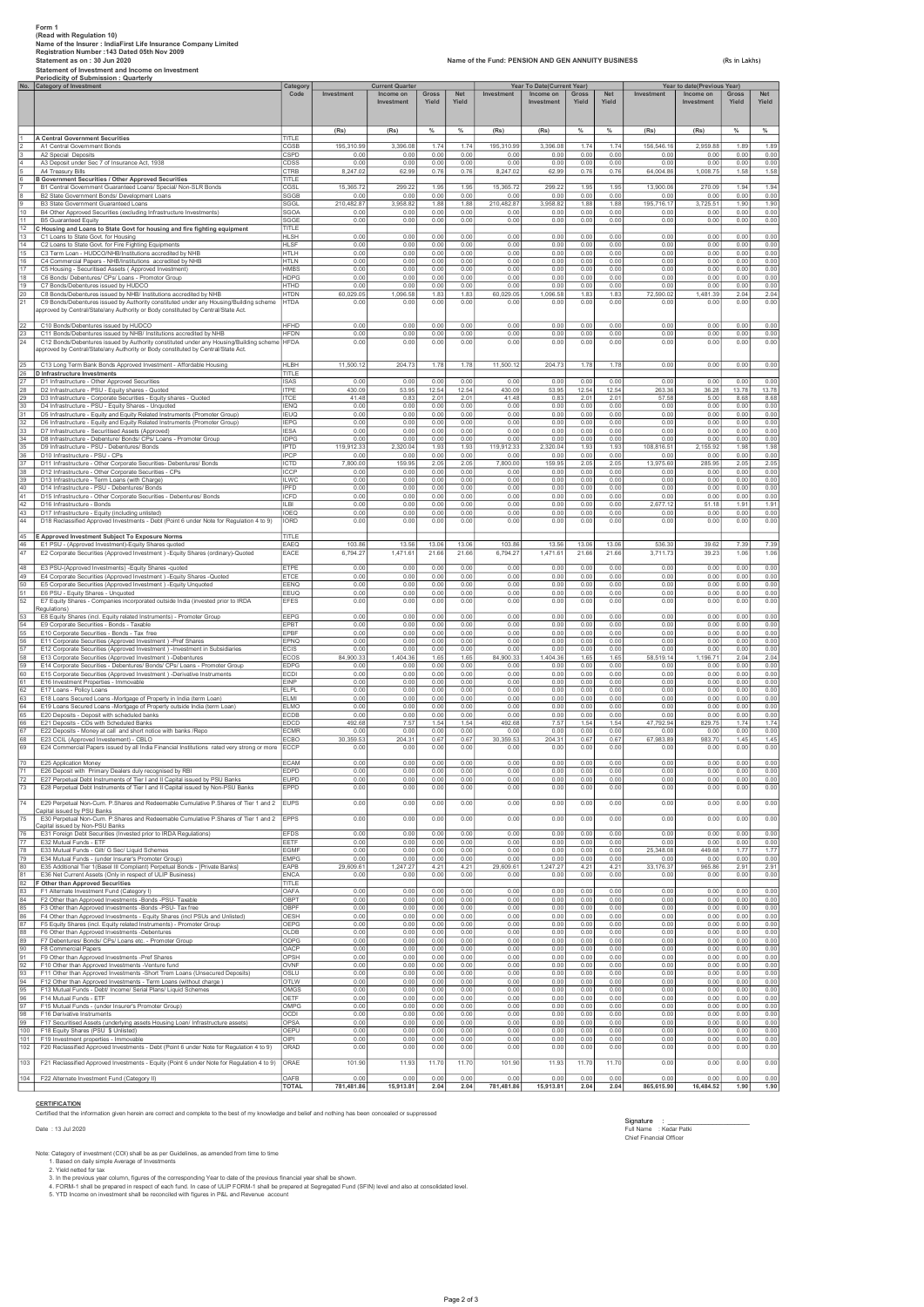|                                    | Form 1<br>(Read with Regulation 10)<br>Name of the Insurer : IndiaFirst Life Insurance Company Limited<br>Registration Number: 143 Dated 05th Nov 2009<br>Statement as on: 30 Jun 2020<br>Statement of Investment and Income on Investment<br>Periodicity of Submission : Quarterly       | Name of the Fund: PENSION AND GEN ANNUITY BUSINESS |                              |                                                   |                      |                              |                              |                                                       |                      | (Rs in Lakhs)<br>Year to date(Previous Year) |                            |                         |                      |                              |
|------------------------------------|-------------------------------------------------------------------------------------------------------------------------------------------------------------------------------------------------------------------------------------------------------------------------------------------|----------------------------------------------------|------------------------------|---------------------------------------------------|----------------------|------------------------------|------------------------------|-------------------------------------------------------|----------------------|----------------------------------------------|----------------------------|-------------------------|----------------------|------------------------------|
|                                    | No. Category of Investment                                                                                                                                                                                                                                                                | Categon<br>Code                                    | Investment                   | <b>Current Quarter</b><br>Income on<br>Investment | Gross<br>Yield       | <b>Net</b><br>Yield          | Investment                   | Year To Date(Current Year)<br>Income on<br>Investment | Gross<br>Yield       | <b>Net</b><br>Yield                          | Investment                 | Income on<br>Investment | Gross<br>Yield       | <b>Net</b><br>Yield          |
|                                    | A Central Government Securities                                                                                                                                                                                                                                                           | TITLE                                              | (Rs)                         | (Rs)                                              | $\%$                 | $\%$                         | (Rs)                         | (Rs)                                                  | $\%$                 | $\%$                                         | (Rs)                       | (Rs)                    | $\%$                 | $\%$                         |
| 2                                  | A1 Central Government Bonds                                                                                                                                                                                                                                                               | CGSB                                               | 195,310.99                   | 3,396.08                                          | 1.74                 | 1.74                         | 195,310.99                   | 3,396.08                                              | 1.74                 | 1.74                                         | 156,546.16                 | 2,959.88                | 1.89                 | 1.89                         |
|                                    | A2 Special Deposits                                                                                                                                                                                                                                                                       | CSPD                                               | 0.00                         | 0.00                                              | 0.00                 | 0.00                         | 0.00                         | 0.00                                                  | 0.00                 | 0.00                                         | 0.00                       | 0.00                    | 0.00                 | 0.00                         |
| 3<br>$\overline{4}$<br>$\,$ 5 $\,$ | A3 Deposit under Sec 7 of Insurance Act, 1938<br>A4 Treasury Bills                                                                                                                                                                                                                        | CDSS<br>CTRB                                       | 0.00<br>8,247.02             | 0.00<br>62.99                                     | 0.00<br>0.76         | 0.00<br>0.76                 | 0.00<br>8,247.02             | 0.00<br>62.99                                         | 0.00<br>0.76         | 0.00<br>0.76                                 | 0.00<br>64,004.86          | 0.00<br>1,008.75        | 0.00<br>1.58         | 0.00<br>1.58                 |
| 6                                  | <b>B Government Securities / Other Approved Securities</b><br>B1 Central Government Guaranteed Loans/ Special/ Non-SLR Bonds                                                                                                                                                              | TITLE<br>CGSL                                      | 15,365.72                    | 299.22                                            | 1.95                 | 1.95                         | 15,365.72                    | 299.22                                                | 1.95                 | 1.95                                         | 13,900.06                  | 270.09                  | 1.94                 | 1.94                         |
| 8                                  | B2 State Government Bonds/ Development Loans                                                                                                                                                                                                                                              | SGGB                                               | 0.00                         | 0.00                                              | 0.00                 | 0.00                         | 0.00                         | 0.00                                                  | 0.00                 | 0.00                                         | 0.00                       | 0.00                    | 0.00                 | 0.00                         |
| 9                                  | B3 State Government Guaranteed Loans                                                                                                                                                                                                                                                      | SGGL                                               | 210,482.87                   | 3.958.82                                          | 1.88                 | 1.88                         | 210,482.87                   | 3,958.82                                              | 1.88                 | 1.88                                         | 195,716.17                 | 3,725.51                | 1.90                 | 1.90                         |
| 10                                 | B4 Other Approved Securities (excluding Infrastructure Investments)                                                                                                                                                                                                                       | <b>SGOA</b>                                        | 0.00                         | 0.00                                              | 0.00                 | 0.00                         | 0.00                         | 0.00                                                  | 0.00                 | 0.00                                         | 0.00                       | 0.00                    | 0.00                 | 0.00                         |
| 11                                 | B5 Guaranteed Equity                                                                                                                                                                                                                                                                      | SGGE                                               | 0.00                         | 0.00                                              | 0.00                 | 0.00                         | 0.00                         | 0.00                                                  | 0.00                 | 0.00                                         | 0.00                       | 0.00                    | 0.00                 | 0.00                         |
| 12<br>13                           | C Housing and Loans to State Govt for housing and fire fighting equipment<br>C1 Loans to State Govt. for Housing                                                                                                                                                                          | TITLE<br><b>HLSH</b>                               | 0.00                         | 0.00                                              | 0.00                 | 0.00                         | 0.00                         | 0.00                                                  | 0.00                 | 0.00                                         | 0.00                       | 0.00                    | 0.00                 | 0.00                         |
| 14                                 | C2 Loans to State Govt. for Fire Fighting Equipments                                                                                                                                                                                                                                      | <b>HLSF</b>                                        | 0.00                         | 0.00                                              | 0.00                 | 0.00                         | 0.00                         | 0.00                                                  | 0.00                 | 0.00                                         | 0.00                       | 0.00                    | 0.00                 | 0.00                         |
| 15                                 | C3 Term Loan - HUDCO/NHB/Institutions accredited by NHB                                                                                                                                                                                                                                   | <b>HTLH</b>                                        | 0.00                         | 0.00                                              | 0.00                 | 0.00                         | 0.00                         | 0.00                                                  | 0.00                 | 0.00                                         | 0.00                       | 0.00                    | 0.00                 | 0.00                         |
| 16                                 | C4 Commercial Papers - NHB/Institutions accredited by NHB                                                                                                                                                                                                                                 | HTLN                                               | 0.00                         | 0.00                                              | 0.00                 | 0.00                         | 0.00                         | 0.00                                                  | 0.00                 | 0.00                                         | 0.00                       | 0.00                    | 0.00                 | 0.00                         |
| 17                                 | C5 Housing - Securitised Assets (Approved Investment)                                                                                                                                                                                                                                     | <b>HMBS</b>                                        | 0.00                         | 0.00                                              | 0.00                 | 0.00                         | 0.00                         | 0.00                                                  | 0.00                 | 0.00                                         | 0.00                       | 0.00                    | 0.00                 | 0.00                         |
| 18                                 | C6 Bonds/ Debentures/ CPs/ Loans - Promotor Group                                                                                                                                                                                                                                         | <b>HDPG</b>                                        | 0.00                         | 0.00                                              | 0.00                 | 0.00                         | 0.00                         | 0.00                                                  | 0.00                 | 0.00                                         | 0.00                       | 0.00                    | 0.00                 | 0.00                         |
| 19                                 | C7 Bonds/Debentures issued by HUDCO                                                                                                                                                                                                                                                       | <b>HTHD</b>                                        | 0.00                         | 0.00                                              | 0.00                 | 0.00                         | 0.00                         | 0.00                                                  | 0.00                 | 0.00                                         | 0.00                       | 0.00                    | 0.00                 | 0.00                         |
| 20<br>21                           | C8 Bonds/Debentures issued by NHB/ Institutions accredited by NHB<br>C9 Bonds/Debentures issued by Authority constituted under any Housing/Building scheme<br>approved by Central/State/any Authority or Body constituted by Central/State Act.                                           | <b>HTDN</b><br><b>HTDA</b>                         | 60,029.05<br>0.00            | 1,096.58<br>0.00                                  | 1.83<br>0.00         | 1.83<br>0.00                 | 60,029.05<br>0.00            | 1,096.58<br>0.00                                      | 1.83<br>0.00         | 1.83<br>0.00                                 | 72,590.02<br>0.00          | 1,481.39<br>0.00        | 2.04<br>0.00         | 2.04<br>0.00                 |
| 22<br>23<br>24                     | C10 Bonds/Debentures issued by HUDCO<br>C11 Bonds/Debentures issued by NHB/ Institutions accredited by NHB<br>C12 Bonds/Debentures issued by Authority constituted under any Housing/Building scheme<br>approved by Central/State/any Authority or Body constituted by Central/State Act. | <b>HFHD</b><br><b>HFDN</b><br><b>HFDA</b>          | 0.00<br>0.00<br>0.00         | 0.00<br>0.00<br>0.00                              | 0.00<br>0.00<br>0.00 | 0.00<br>0.00<br>0.00         | 0.00<br>0.00<br>0.00         | 0.00<br>0.00<br>0.00                                  | 0.00<br>0.00<br>0.00 | 0.00<br>0.00<br>0.00                         | 0.00<br>0.00<br>0.00       | 0.00<br>0.00<br>0.00    | 0.00<br>0.00<br>0.00 | 0.00<br>0.00<br>0.00         |
| 25<br>26                           | C13 Long Term Bank Bonds Approved Investment - Affordable Housing<br>D Infrastructure Investments                                                                                                                                                                                         | <b>HLBH</b><br>TITLE                               | 11,500.12                    | 204.73                                            | 1.78                 | 1.78                         | 11,500.12                    | 204.73                                                | 1.78                 | 1.78                                         | 0.00                       | 0.00                    | 0.00                 | 0.00                         |
| 27                                 | D1 Infrastructure - Other Approved Securities                                                                                                                                                                                                                                             | <b>ISAS</b>                                        | 0.00                         | 0.00                                              | 0.00                 | 0.00                         | 0.00                         | 0.00                                                  | 0.00                 | 0.00                                         | 0.00                       | 0.00                    | 0.00                 | 0.00                         |
| $\sqrt{28}$                        | D2 Infrastructure - PSU - Equity shares - Quoted                                                                                                                                                                                                                                          | <b>ITPE</b>                                        | 430.09                       | 53.95                                             | 12.54                | 12.54                        | 430.09                       | 53.95                                                 | 12.54                | 12.54                                        | 263.36                     | 36.28                   | 13.78                | 13.78                        |
| 29                                 | D3 Infrastructure - Corporate Securities - Equity shares - Quoted                                                                                                                                                                                                                         | <b>ITCE</b>                                        | 41.48                        | 0.83                                              | 2.01                 | 2.01                         | 41.48                        | 0.83                                                  | 2.01                 | 2.01                                         | 57.58                      | 5.00                    | 8.68                 | 8.68                         |
| 30                                 | D4 Infrastructure - PSU - Equity Shares - Unquoted                                                                                                                                                                                                                                        | <b>IENQ</b>                                        | 0.00                         | 0.00                                              | 0.00                 | 0.00                         | 0.00                         | 0.00                                                  | 0.00                 | 0.00                                         | 0.00                       | 0.00                    | 0.00                 | 0.00                         |
| 31                                 | D5 Infrastructure - Equity and Equity Related Instruments (Promoter Group)                                                                                                                                                                                                                | <b>IFUO</b>                                        | 0.00                         | 0.00                                              | 0.00                 | 0.00                         | 0.00                         | 0.00                                                  | 0.00                 | 0.00                                         | 0.00                       | 0.00                    | 0.00                 | 0.00                         |
| 32                                 | D6 Infrastructure - Equity and Equity Related Instruments (Promoter Group)                                                                                                                                                                                                                | <b>IEPG</b>                                        | 0.00                         | 0.00                                              | 0.00                 | 0.00                         | 0.00                         | 0.00                                                  | 0.00                 | 0.00                                         | 0.00                       | 0.00                    | 0.00                 | 0.00                         |
| 33                                 | D7 Infrastructure - Securitised Assets (Approved)                                                                                                                                                                                                                                         | <b>IESA</b>                                        | 0.00                         | 0.00                                              | 0.00                 | 0.00                         | 0.00                         | 0.00                                                  | 0.00                 | 0.00                                         | 0.00                       | 0.00                    | 0.00                 | 0.00                         |
| 34                                 | D8 Infrastructure - Debenture/ Bonds/ CPs/ Loans - Promoter Group                                                                                                                                                                                                                         | <b>IDPG</b>                                        | 0.00                         | 0.00                                              | 0.00                 | 0.00                         | 0.00                         | 0.00                                                  | 0.00                 | 0.00                                         | 0.00                       | 0.00                    | 0.00                 | 0.00                         |
| 35                                 | D9 Infrastructure - PSU - Debentures/ Bonds                                                                                                                                                                                                                                               | <b>IPTD</b>                                        | 119 912 33                   | 2.320.04                                          | 1.93                 | 1.93                         | 119,912.33                   | 2.320.04                                              | 1.93                 | 1.93                                         | 108.816.51                 | 2.155.92                | 1.98                 | 1.98                         |
| 36                                 | D10 Infrastructure - PSU - CPs                                                                                                                                                                                                                                                            | <b>IPCP</b>                                        | 0.00                         | 0.00                                              | 0.00                 | 0.00                         | 0.00                         | 0.00                                                  | 0.00                 | 0.00                                         | 0.00                       | 0.00                    | 0.00                 | 0.00                         |
| 37                                 | D11 Infrastructure - Other Corporate Securities- Debentures/ Bonds                                                                                                                                                                                                                        | ICTD                                               | 7,800.00                     | 159.95                                            | 2.05                 | 2.05                         | 7,800.00                     | 159.95                                                | 2.05                 | 2.05                                         | 13,975.60                  | 285.95                  | 2.05                 | 2.05                         |
| 38                                 | D12 Infrastructure - Other Corporate Securities - CPs                                                                                                                                                                                                                                     | <b>ICCP</b>                                        | 0.00                         | 0.00                                              | 0.00                 | 0.00                         | 0.00                         | 0.00                                                  | 0.00                 | 0.00                                         | 0.00                       | 0.00                    | 0.00                 | 0.00                         |
| 39<br>40                           | D13 Infrastructure - Term Loans (with Charge)<br>D14 Infrastructure - PSU - Debentures/ Bonds                                                                                                                                                                                             | <b>ILWC</b><br>IPFD<br>ICFD                        | 0.00<br>0.00                 | 0.00<br>0.00<br>0.00                              | 0.00<br>0.00<br>0.00 | 0.00<br>0.00                 | 0.00<br>0.00                 | 0.00<br>0.00<br>0.00                                  | 0.00<br>0.00<br>0.00 | 0.00<br>0.00<br>0.00                         | 0.00<br>0.00<br>0.00       | 0.00<br>0.00<br>0.00    | 0.00<br>0.00<br>0.00 | 0.00<br>0.00                 |
| 41<br>42<br>43<br>44               | D15 Infrastructure - Other Corporate Securities - Debentures/ Bonds<br>D16 Infrastructure - Bonds<br>D17 Infrastructure - Equity (including unlisted)<br>D18 Reclassified Approved Investments - Debt (Point 6 under Note for Regulation 4 to 9)                                          | <b>ILBI</b><br>IOEQ<br>IORD                        | 0.00<br>0.00<br>0.00<br>0.00 | 0.00<br>0.00<br>0.00                              | 0.00<br>0.00<br>0.00 | 0.00<br>0.00<br>0.00<br>0.00 | 0.00<br>0.00<br>0.00<br>0.00 | 0.00<br>0.00<br>0.00                                  | 0.00<br>0.00<br>0.00 | 0.00<br>0.00<br>0.00                         | 2,677.12<br>0.00<br>0.00   | 51.18<br>0.00<br>0.00   | 1.91<br>0.00<br>0.00 | 0.00<br>1.91<br>0.00<br>0.00 |
| 45<br>46                           | E Approved Investment Subject To Exposure Norms<br>E1 PSU - (Approved Investment)-Equity Shares quoted                                                                                                                                                                                    | TITLE<br>FAFO                                      | 103.86                       | 13.56                                             | 13.06                | 13.06                        | 103.86                       | 13.56                                                 | 13.06                | 13.06                                        | 536.30                     | 39.62                   | 7.39                 | 7.39                         |
| 47                                 | E2 Corporate Securities (Approved Investment) - Equity Shares (ordinary)-Quoted                                                                                                                                                                                                           | EACE                                               | 6,794.27                     | 1,471.61                                          | 21.66                | 21.66                        | 6,794.27                     | 1,471.61                                              | 21.66                | 21.66                                        | 3,711.73                   | 39.23                   | 1.06                 | 1.06                         |
| 48                                 | E3 PSU-(Approved Investments) - Equity Shares -quoted                                                                                                                                                                                                                                     | ETPE                                               | 0.00                         | 0.00                                              | 0.00                 | 0.00                         | 0.00                         | 0.00                                                  | 0.00                 | 0.00                                         | 0.00                       | 0.00                    | 0.00                 | 0.00                         |
| 49                                 | E4 Corporate Securities (Approved Investment ) - Equity Shares - Quoted                                                                                                                                                                                                                   | ETCE                                               | 0.00                         | 0.00                                              | 0.00                 | 0.00                         | 0.00                         | 0.00                                                  | 0.00                 | 0.00                                         | 0.00                       | 0.00                    | 0.00                 | 0.00                         |
| 50                                 | E5 Corporate Securities (Approved Investment) - Equity Unquoted                                                                                                                                                                                                                           | EENQ                                               | 0.00                         | 0.00                                              | 0.00                 | 0.00                         | 0.00                         | 0.00                                                  | 0.00                 | 0.00                                         | 0.00                       | 0.00                    | 0.00                 | 0.00                         |
| 51                                 | E6 PSU - Equity Shares - Unquoted                                                                                                                                                                                                                                                         | EEUQ                                               | 0.00                         | 0.00                                              | 0.00                 | 0.00                         | 0.00                         | 0.00                                                  | 0.00                 | 0.00                                         | 0.00                       | 0.00                    | 0.00                 | 0.00                         |
| 52                                 | E7 Equity Shares - Companies incorporated outside India (invested prior to IRDA<br>Regulations)                                                                                                                                                                                           | <b>EFES</b>                                        | 0.00                         | 0.00                                              | 0.00                 | 0.00                         | 0.00                         | 0.00                                                  | 0.00                 | 0.00                                         | 0.00                       | 0.00                    | 0.00                 | 0.00                         |
| 53                                 | E8 Equity Shares (incl. Equity related Instruments) - Promoter Group                                                                                                                                                                                                                      | EEPG                                               | 0.00                         | 0.00                                              | 0.00                 | 0.00                         | 0.00                         | 0.00                                                  | 0.00                 | 0.00                                         | 0.00                       | 0.00                    | 0.00                 | 0.00                         |
| 54                                 | E9 Corporate Securities - Bonds - Taxable                                                                                                                                                                                                                                                 | EPBT                                               | 0.00                         | 0.00                                              | 0.00                 | 0.00                         | 0.00                         | 0.00                                                  | 0.00                 | 0.00                                         | 0.00                       | 0.00                    | 0.00                 | 0.00                         |
| 55                                 | E10 Corporate Securities - Bonds - Tax free                                                                                                                                                                                                                                               | EPBF                                               | 0.00                         | 0.00                                              | 0.00                 | 0.00                         | 0.00                         | 0.00                                                  | 0.00                 | 0.00                                         | 0.00                       | 0.00                    | 0.00                 | 0.00                         |
| 56                                 | E11 Corporate Securities (Approved Investment) -Pref Shares                                                                                                                                                                                                                               | EPNQ                                               | 0.00                         | 0.00                                              | 0.00                 | 0.00                         | 0.00                         | 0.00                                                  | 0.00                 | 0.00                                         | 0.00                       | 0.00                    | 0.00                 | 0.00                         |
| 57                                 | E12 Corporate Securities (Approved Investment) -Investment in Subsidiaries                                                                                                                                                                                                                | <b>ECIS</b>                                        | 0.00                         | 0.00                                              | 0.00                 | 0.00                         | 0.00                         | 0.00                                                  | 0.00                 | 0.00                                         | 0.00                       | 0.00                    | 0.00                 | 0.00                         |
| 58                                 | E13 Corporate Securities (Approved Investment) -Debentures                                                                                                                                                                                                                                | ECOS                                               | 84,900.33                    | 1,404.36                                          | 1.65                 | 1.65                         | 84,900.33                    | ,404.36                                               | 1.65                 | 1.65                                         | 58,519.14                  | 1,196.71                | 2.04                 | 2.04                         |
| 59                                 | E14 Corporate Securities - Debentures/ Bonds/ CPs/ Loans - Promoter Group                                                                                                                                                                                                                 | <b>FDPG</b>                                        | 0.00                         | 0.00                                              | 0.00                 | 0.00                         | 0.00                         | 0.00                                                  | 0.00                 | 0.00                                         | 0.00                       | 0.00                    | 0.00                 | 0.00                         |
| 60                                 | E15 Corporate Securities (Approved Investment) -Derivative Instruments                                                                                                                                                                                                                    | ECDI                                               | 0.00                         | 0.00                                              | 0.00                 | 0.00                         | 0.00                         | 0.00                                                  | 0.00                 | 0.00                                         | 0.00                       | 0.00                    | 0.00                 | 0.00                         |
| 61                                 | E16 Investment Properties - Immovable                                                                                                                                                                                                                                                     | <b>FINP</b>                                        | 0.00                         | 0.00                                              | 0.00                 | 0.00                         | 0.00                         | 0.00                                                  | 0.00                 | 0.00                                         | 0.00                       | 0.00                    | 0.00                 | 0.00                         |
| 62                                 | E17 Loans - Policy Loans                                                                                                                                                                                                                                                                  | ELPL                                               | 0.00                         | 0.00                                              | 0.00                 | 0.00                         | 0.00                         | 0.00                                                  | 0.00                 | 0.00                                         | 0.00                       | 0.00                    | 0.00                 | 0.00                         |
| 63                                 | E18 Loans Secured Loans -Mortgage of Property in India (term Loan)                                                                                                                                                                                                                        | FI MI                                              | 0.00                         | 0.00                                              | 0.00                 | 0.00                         | 0.00                         | 0.00                                                  | 0.00                 | 0.00                                         | 0.00                       | 0.00                    | 0.00                 | 0.00                         |
| 64                                 | E19 Loans Secured Loans -Mortgage of Property outside India (term Loan)                                                                                                                                                                                                                   | <b>ELMC</b>                                        | 0.00                         | 0.00                                              | 0.00                 | 0.00                         | 0.00                         | 0.00                                                  | 0.00                 | 0.00                                         | 0.00                       | 0.00                    | 0.00                 | 0.00                         |
| 65                                 | E20 Deposits - Deposit with scheduled banks                                                                                                                                                                                                                                               | <b>ECDB</b>                                        | 0.00                         | 0.00                                              | 0.00                 | 0.00                         | 0.00                         | 0.00                                                  | 0.00                 | 0.00                                         | 0.00                       | 0.00                    | 0.00                 | 0.00                         |
| 66                                 | E21 Deposits - CDs with Scheduled Banks                                                                                                                                                                                                                                                   | EDCD                                               | 492.68                       |                                                   | 1.54                 | .54                          | 492.68                       | 7.5                                                   | 1.54                 | 1.54                                         | 47,792.94                  | 829.7                   | 1.7                  | 1.74                         |
| 67                                 | E22 Deposits - Money at call and short notice with banks /Repo                                                                                                                                                                                                                            | <b>ECMR</b>                                        | 0.00                         | 0.00                                              | 0.00                 | 0.00                         | 0.00                         | 0.00                                                  | 0.00                 | 0.00                                         | 0.00                       | 0.00                    | 0.00                 | 0.00                         |
| 68                                 | E23 CCIL (Approved Investement) - CBLO                                                                                                                                                                                                                                                    | ECBO                                               | 30.359.53                    | 204.31                                            | 0.67                 | 0.67                         | 30.359.53                    | 204.31                                                | 0.67                 | 0.67                                         | 67.983.89                  | 983.70                  | 1.45                 | 1.45                         |
| 69                                 | E24 Commercial Papers issued by all India Financial Institutions rated very strong or more                                                                                                                                                                                                | <b>ECCP</b>                                        | 0.00                         | 0.00                                              | 0.00                 | 0.00                         | 0.00                         | 0.00                                                  | 0.00                 | 0.00                                         | 0.00                       | 0.00                    | 0.00                 | 0.00                         |
| 70                                 | E25 Application Money                                                                                                                                                                                                                                                                     | <b>ECAM</b>                                        | 0.00                         | 0.00                                              | 0.00                 | 0.00                         | 0.00                         | 0.00                                                  | 0.00                 | 0.00                                         | 0.00                       | 0.00                    | 0.00                 | 0.00                         |
| 71                                 | E26 Deposit with Primary Dealers duly recognised by RBI                                                                                                                                                                                                                                   | <b>EDPD</b>                                        | 0.00                         | 0.00                                              | 0.00                 | 0.00                         | 0.00                         | 0.00                                                  | 0.00                 | 0.00                                         | 0.00                       | 0.00                    | 0.00                 | 0.00                         |
| 72                                 | E27 Perpetual Debt Instruments of Tier I and II Capital issued by PSU Banks                                                                                                                                                                                                               | <b>EUPD</b>                                        | 0.00                         | 0.00                                              | 0.00                 | 0.00                         | 0.00                         | 0.00                                                  | 0.00                 | 0.00                                         | 0.00                       | 0.00                    | 0.00                 | 0.00                         |
| 73                                 | E28 Perpetual Debt Instruments of Tier I and II Capital issued by Non-PSU Banks                                                                                                                                                                                                           | EPPD                                               | 0.00                         | 0.00                                              | 0.00                 | 0.00                         | 0.00                         | 0.00                                                  | 0.00                 | 0.00                                         | 0.00                       | 0.00                    | 0.00                 | 0.00                         |
| 74                                 | E29 Perpetual Non-Cum. P.Shares and Redeemable Cumulative P.Shares of Tier 1 and 2                                                                                                                                                                                                        | <b>EUPS</b>                                        | 0.00                         | 0.00                                              | 0.00                 | 0.00                         | 0.00                         | 0.00                                                  | 0.00                 | 0.00                                         | 0.00                       | 0.00                    | 0.00                 | 0.00                         |
| 75                                 | Capital issued by PSU Banks<br>E30 Perpetual Non-Cum. P.Shares and Redeemable Cumulative P.Shares of Tier 1 and 2<br>Capital issued by Non-PSU Banks                                                                                                                                      | <b>IEPPS</b>                                       | 0.00                         | 0.00                                              | 0.00                 | 0.00                         | 0.00                         | 0.00                                                  | 0.00                 | 0.00                                         | 0.00                       | 0.00                    | 0.00                 | 0.00                         |
| 76                                 | E31 Foreign Debt Securities (Invested prior to IRDA Regulations)                                                                                                                                                                                                                          | <b>EFDS</b>                                        | 0.00                         | 0.00                                              | 0.00                 | 0.00                         | 0.00                         | 0.00                                                  | 0.00                 | 0.00                                         | 0.00                       | 0.00                    | 0.00                 | 0.00                         |
|                                    | 77 E32 Mutual Funds - ETF                                                                                                                                                                                                                                                                 | EETF                                               | 0.00                         | 0.00                                              | 0.00                 | 0.00                         | 0.00                         | 0.00                                                  | 0.00                 | 0.00                                         | 0.00                       | 0.00                    | 0.00                 | 0.00                         |
| 78                                 | E33 Mutual Funds - Gilt/ G Sec/ Liquid Schemes                                                                                                                                                                                                                                            | <b>EGMF</b>                                        | 0.00                         | 0.00                                              | 0.00                 | 0.00                         | 0.00                         | 0.00                                                  | 0.00                 | 0.00                                         | 25,348.08                  | 449.68                  | 1.77                 | 1.77                         |
| 79                                 | E34 Mutual Funds - (under Insurer's Promoter Group)                                                                                                                                                                                                                                       | <b>EMPG</b>                                        | 0.00                         | 0.00                                              | 0.00                 | 0.00                         | 0.00                         | 0.00                                                  | 0.00                 | 0.00                                         | 0.00                       | 0.00                    | 0.00                 | 0.00                         |
| 80<br>81<br>82<br>83               | E35 Additional Tier 1(Basel III Compliant) Perpetual Bonds - [Private Banks]<br>E36 Net Current Assets (Only in respect of ULIP Business)<br>F Other than Approved Securities<br>F1 Alternate Investment Fund (Category I)                                                                | EAPB<br><b>ENCA</b><br>TITLE<br>OAFA               | 29,609.61<br>0.00<br>0.00    | 1,247.27<br>0.00<br>0.00                          | 4.21<br>0.00<br>0.00 | 4.21<br>0.00<br>0.00         | 29,609.61<br>0.00<br>0.00    | 1,247.27<br>0.00<br>0.00                              | 4.21<br>0.00<br>0.00 | 4.2'<br>0.00<br>0.00                         | 33, 176.37<br>0.00<br>0.00 | 965.86<br>0.00<br>0.00  | 2.9<br>0.00<br>0.00  | 2.91<br>0.00<br>0.00         |
| 84                                 | F2 Other than Approved Investments -Bonds -PSU- Taxable                                                                                                                                                                                                                                   | OBPT                                               | 0.00                         | 0.00                                              | 0.00                 | 0.00                         | 0.00                         | 0.00                                                  | 0.00                 | 0.00                                         | 0.00                       | 0.00                    | 0.00                 | 0.00                         |
| 85                                 | F3 Other than Approved Investments -Bonds -PSU- Tax free                                                                                                                                                                                                                                  | OBPF                                               | 0.00                         | 0.00                                              | 0.00                 | 0.00                         | 0.00                         | 0.00                                                  | 0.00                 | 0.00                                         | 0.00                       | 0.00                    | 0.00                 | 0.00                         |
| 86                                 | F4 Other than Approved Investments - Equity Shares (incl PSUs and Unlisted)                                                                                                                                                                                                               | OESH                                               | 0.00                         | 0.00                                              | 0.00                 | 0.00                         | 0.00                         | 0.00                                                  | 0.00                 | 0.00                                         | 0.00                       | 0.00                    | 0.00                 | 0.00                         |
| 87                                 | F5 Equity Shares (incl. Equity related Instruments) - Promoter Group                                                                                                                                                                                                                      | OEPG                                               | 0.00                         | 0.00                                              | 0.00                 | 0.00                         | 0.00                         | 0.00                                                  | 0.00                 | 0.00                                         | 0.00                       | 0.00                    | 0.00                 | 0.00                         |
| 88                                 | F6 Other than Approved Investments -Debentures                                                                                                                                                                                                                                            | OLDB                                               | 0.00                         | 0.00                                              | 0.00                 | 0.00                         | 0.00                         | 0.00                                                  | 0.00                 | 0.00                                         | 0.00                       | 0.00                    | 0.00                 | 0.00                         |
| 89                                 | F7 Debentures/ Bonds/ CPs/ Loans etc. - Promoter Group                                                                                                                                                                                                                                    | ODPG                                               | 0.00                         | 0.00                                              | 0.00                 | 0.00                         | 0.00                         | 0.00                                                  | 0.00                 | 0.00                                         | 0.00                       | 0.00                    | 0.00                 | 0.00                         |
| 90                                 | F8 Commercial Papers                                                                                                                                                                                                                                                                      | OACP                                               | 0.00                         | 0.00                                              | 0.00                 | 0.00                         | 0.00                         | 0.00                                                  | 0.00                 | 0.00                                         | 0.00                       | 0.00                    | 0.00                 | 0.00                         |
| 91                                 | F9 Other than Approved Investments -Pref Shares                                                                                                                                                                                                                                           | OPSH                                               | 0.00                         | 0.00                                              | 0.00                 | 0.00                         | 0.00                         | 0.00                                                  | 0.00                 | 0.00                                         | 0.00                       | 0.00                    | 0.00                 | 0.00                         |
| 92                                 | F10 Other than Approved Investments -Venture fund                                                                                                                                                                                                                                         | OVNF                                               | 0.00                         | 0.00                                              | 0.00                 | 0.00                         | 0.00                         | 0.00                                                  | 0.00                 | 0.00                                         | 0.00                       | 0.00                    | 0.00                 | 0.00                         |
| 93                                 | F11 Other than Approved Investments -Short Trem Loans (Unsecured Deposits)                                                                                                                                                                                                                | OSLU                                               | 0.00                         | 0.00                                              | 0.00                 | 0.00                         | 0.00                         | 0.00                                                  | 0.00                 | 0.00                                         | 0.00                       | 0.00                    | 0.00                 | 0.00                         |
| 94                                 | F12 Other than Approved Investments - Term Loans (without charge)                                                                                                                                                                                                                         | OTLW                                               | 0.00                         | 0.00                                              | 0.00                 | 0.00                         | 0.00                         | 0.00                                                  | 0.00                 | 0.00                                         | 0.00                       | 0.00                    | 0.00                 | 0.00                         |
| 95                                 | F13 Mutual Funds - Debt/ Income/ Serial Plans/ Liquid Schemes                                                                                                                                                                                                                             | OMGS                                               | 0.00                         | 0.00                                              | 0.00                 | 0.00                         | 0.00                         | 0.00                                                  | 0.00                 | 0.00                                         | 0.00                       | 0.00                    | 0.00                 | 0.00                         |
| 96                                 | F14 Mutual Funds - ETF                                                                                                                                                                                                                                                                    | OETF                                               | 0.00                         | 0.00                                              | 0.00                 | 0.00                         | 0.00                         | 0.00                                                  | 0.00                 | 0.00                                         | 0.00                       | 0.00                    | 0.00                 | 0.00                         |
| 97                                 | F15 Mutual Funds - (under Insurer's Promoter Group)                                                                                                                                                                                                                                       | OMPG                                               | 0.00                         | 0.00                                              | 0.00                 | 0.00                         | 0.00                         | 0.00                                                  | 0.00                 | 0.00                                         | 0.00                       | 0.00                    | 0.00                 | 0.00                         |
| 98                                 | F16 Derivative Instruments                                                                                                                                                                                                                                                                | OCDI                                               | 0.00                         | 0.00                                              | 0.00                 | 0.00                         | 0.00                         | 0.00                                                  | 0.00                 | 0.00                                         | 0.00                       | 0.00                    | 0.00                 | 0.00                         |
| 99                                 | F17 Securitised Assets (underlying assets Housing Loan/ Infrastructure assets)                                                                                                                                                                                                            | OPSA                                               | 0.00                         | 0.00                                              | 0.00                 | 0.00                         | 0.00                         | 0.00                                                  | 0.00                 | 0.00                                         | 0.00                       | 0.00                    | 0.00                 | 0.00                         |
| 100                                | F18 Equity Shares (PSU \$ Unlisted)                                                                                                                                                                                                                                                       | OEPU                                               | 0.00                         | 0.00                                              | 0.00                 | 0.00                         | 0.00                         | 0.00                                                  | 0.00                 | 0.00                                         | 0.00                       | 0.00                    | 0.00                 | 0.00                         |
| 101                                | F19 Investment properties - Immovable                                                                                                                                                                                                                                                     | OIPI                                               | 0.00                         | 0.00                                              | 0.00                 | 0.00                         | 0.00                         | 0.00                                                  | 0.00                 | 0.00                                         | 0.00                       | 0.00                    | 0.00                 | 0.00                         |
| 102                                | F20 Reclassified Approved Investments - Debt (Point 6 under Note for Regulation 4 to 9)                                                                                                                                                                                                   | ORAD                                               | 0.00                         | 0.00                                              | 0.00                 | 0.00                         | 0.00                         | 0.00                                                  | 0.00                 | 0.00                                         | 0.00                       | 0.00                    | 0.00                 | 0.00                         |
| 103                                | F21 Reclassified Approved Investments - Equity (Point 6 under Note for Regulation 4 to 9)                                                                                                                                                                                                 | ORAE<br>OAFB                                       | 101.90                       | 11.93                                             | 11.70                | 11.70                        | 101.90<br>0.00               | 11.93                                                 | 11.70                | 11.70                                        | 0.00                       | 0.00                    | 0.00                 | 0.00                         |
|                                    | 104   F22 Alternate Investment Fund (Category II)                                                                                                                                                                                                                                         | <b>TOTAL</b>                                       | 0.00<br>781,481.86           | 0.00<br>15,913.81                                 | 0.00<br>2.04         | 0.00<br>2.04                 | 781,481.86                   | 0.00<br>15,913.81                                     | 0.00<br>2.04         | 0.00<br>2.04                                 | 0.00<br>865,615,90         | 0.00<br>16,484.52       | 0.00<br>1.90         | 0.00<br>1.90                 |

CERTIFICATION<br>Certified that the information given herein are correct and complete to the best of my knowledge and belief and nothing has been concealed or suppressed

Date : 13 Jul 2020 Full Name : Kedar Patki

Note: Category of investment (COI) shall be as per Guidelines, as amended from time to time<br>1999 - Support of interaction of the state of the corresponding Year to date of the previous financial year shall be shown.<br>1999 -

Signature : \_\_\_\_\_\_\_\_\_\_\_\_\_\_\_\_\_\_\_\_\_\_

Chief Financial Officer